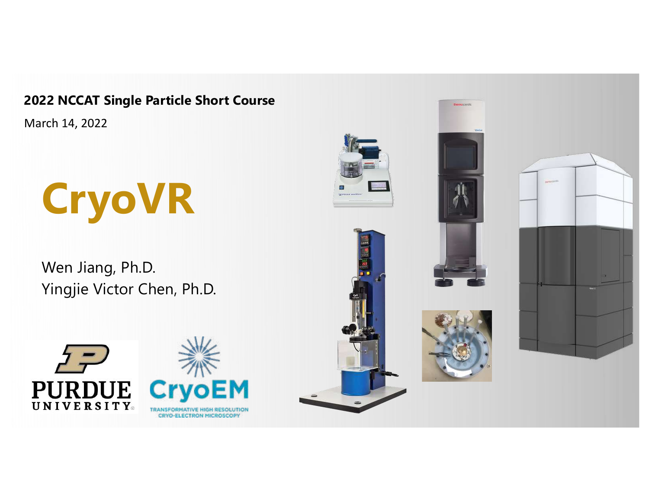**2022 NCCAT Single Particle Short Course**

March 14, 2022

# **CryoVR**

Wen Jiang, Ph.D. Yingjie Victor Chen, Ph.D.



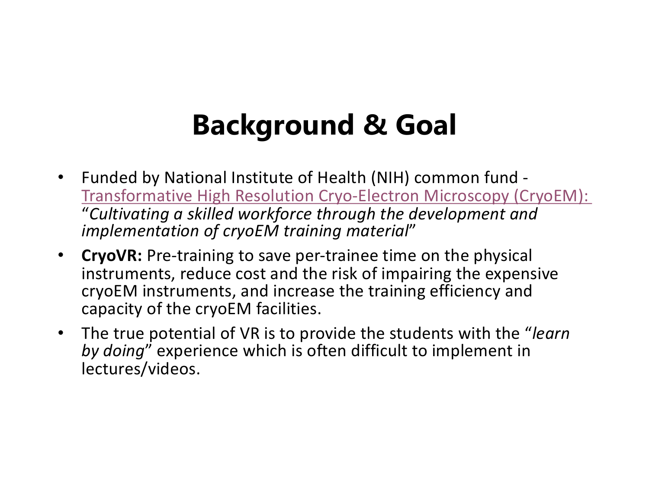## **Background & Goal**

- Funded by National Institute of Health (NIH) common fund [Transformative High Resolution Cryo-Electron Microscopy \(CryoEM\)](https://commonfund.nih.gov/CryoEM): "*Cultivating a skilled workforce through the development and implementation of cryoEM training material*"
- **CryoVR:** Pre-training to save per-trainee time on the physical instruments, reduce cost and the risk of impairing the expensive cryoEM instruments, and increase the training efficiency and capacity of the cryoEM facilities.
- The true potential of VR is to provide the students with the "*learn by doing*" experience which is often difficult to implement in lectures/videos.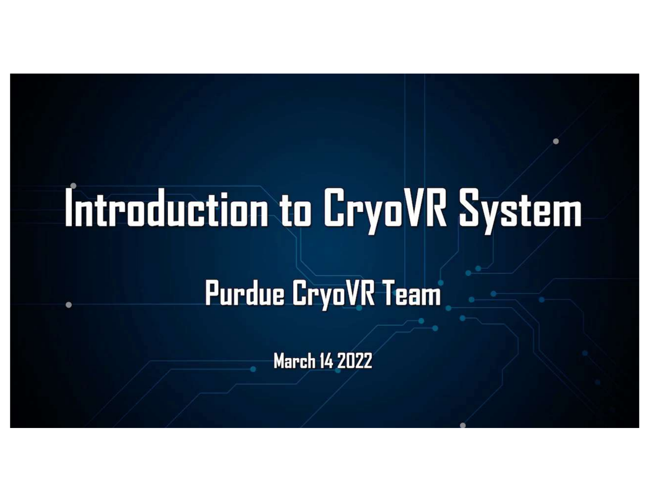# Introduction to CryoVR System

## **Purdue CryoVR Team**

**March 14 2022**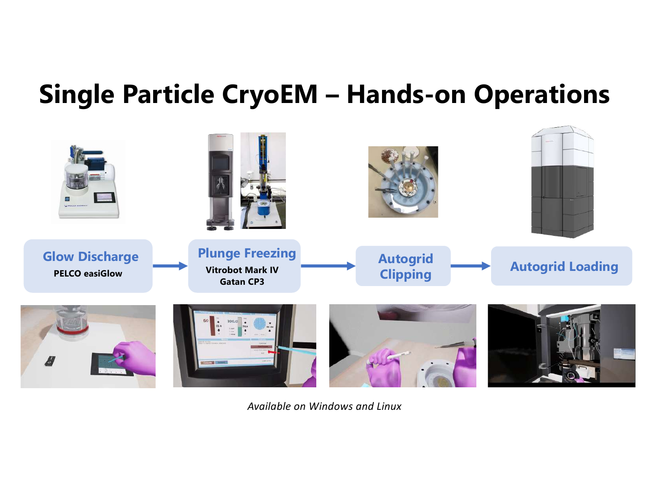## **Single Particle CryoEM – Hands-on Operations**



*Available on Windows and Linux*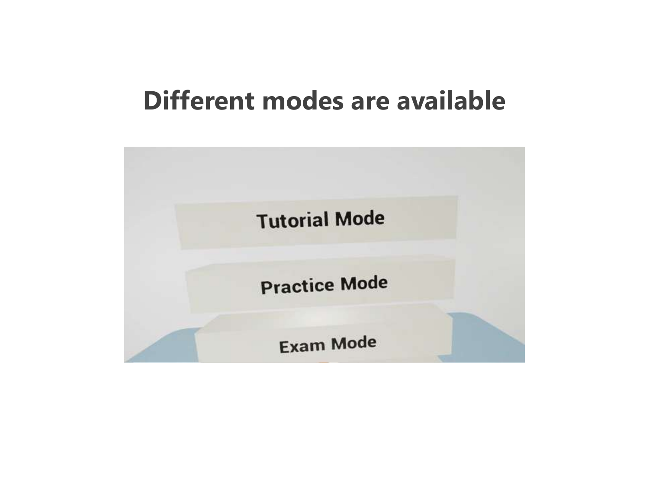### **Different modes are available**

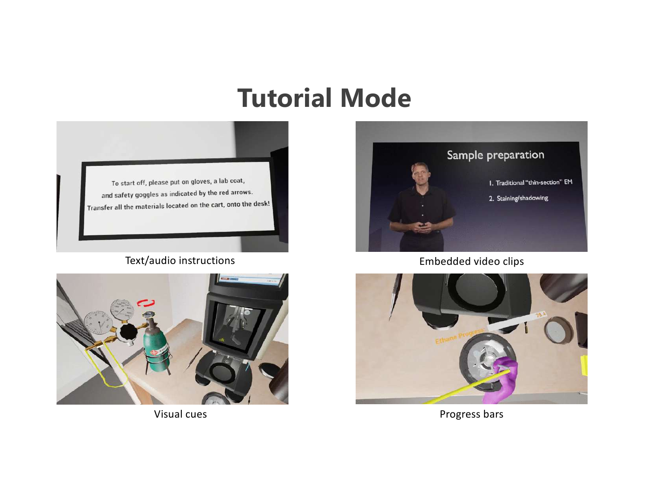### **Tutorial Mode**



#### Text/audio instructions





Embedded video clips



Visual cues **Progress bars**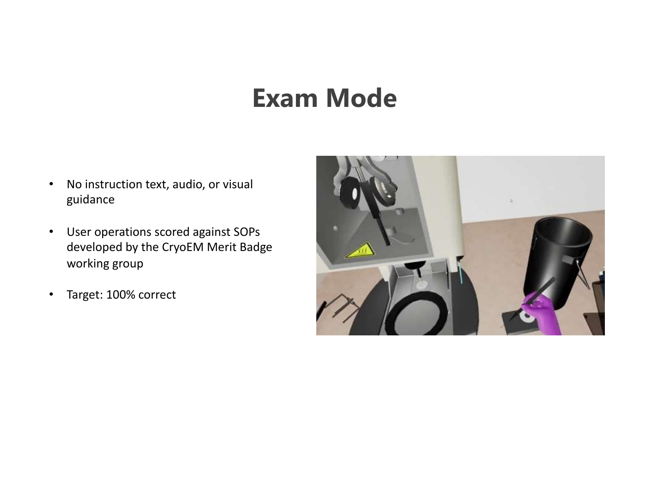## **Exam Mode**

- No instruction text, audio, or visual guidance
- User operations scored against SOPs developed by the CryoEM Merit Badge working group
- Target: 100% correct

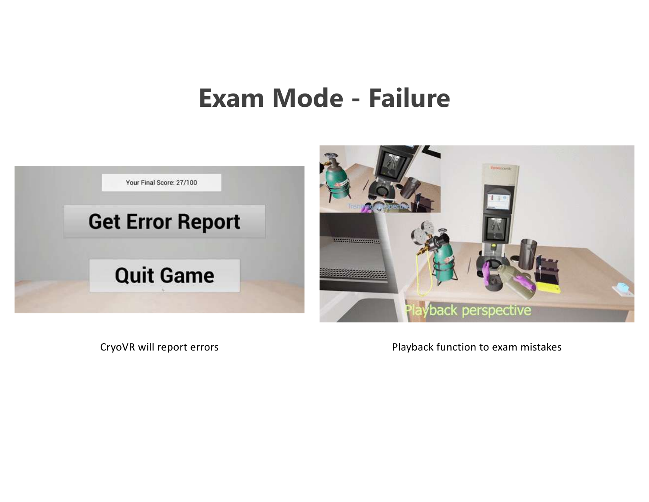### **Exam Mode - Failure**



CryoVR will report errors exam mistakes Playback function to exam mistakes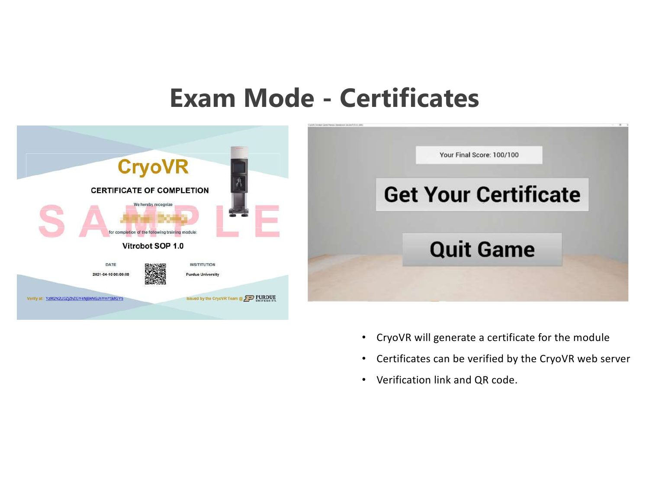#### **Exam Mode - Certificates**



- CryoVR will generate a certificate for the module
- Certificates can be verified by the CryoVR web server
- Verification link and QR code.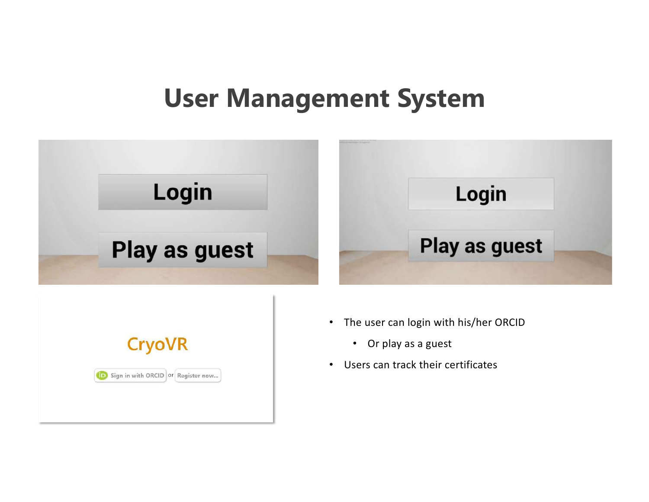### **User Management System**



Sign in with ORCID or Register now...

• Users can track their certificates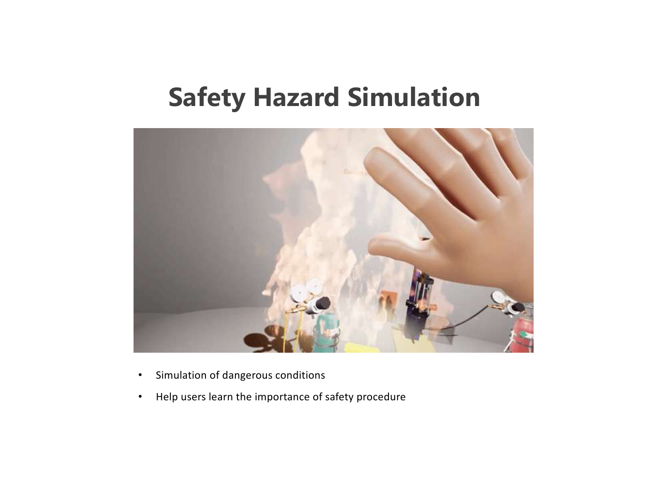## **Safety Hazard Simulation**



- Simulation of dangerous conditions
- Help users learn the importance of safety procedure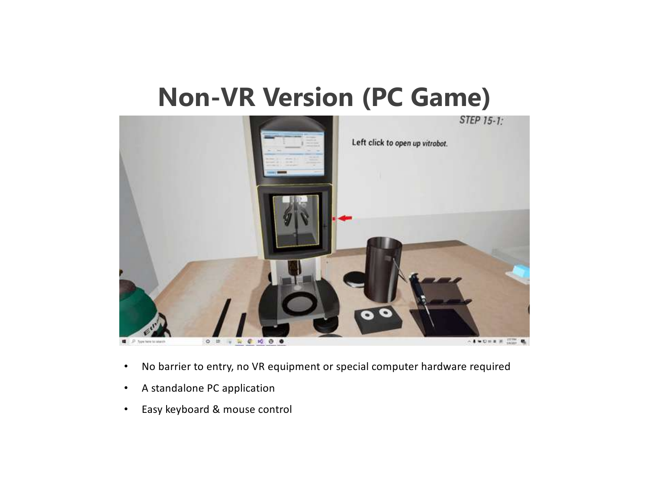### **Non-VR Version (PC Game)**



- No barrier to entry, no VR equipment or special computer hardware required
- A standalone PC application
- Easy keyboard & mouse control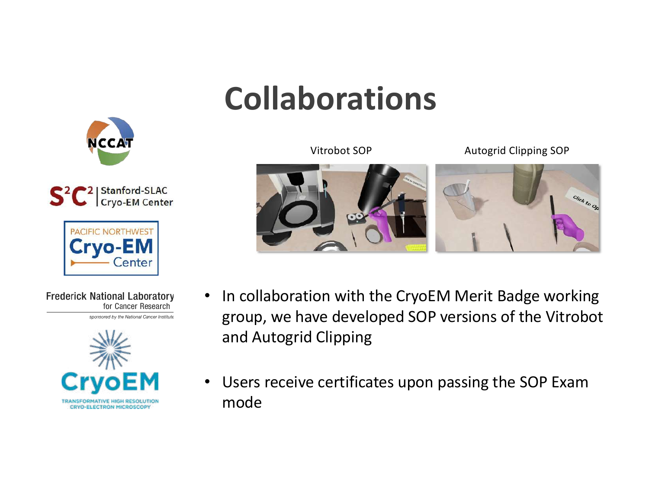## **Collaborations**







**Frederick National Laboratory** for Cancer Research sponsored by the National Cancer Institute









- In collaboration with the CryoEM Merit Badge working group, we have developed SOP versions of the Vitrobot and Autogrid Clipping
- Users receive certificates upon passing the SOP Exam mode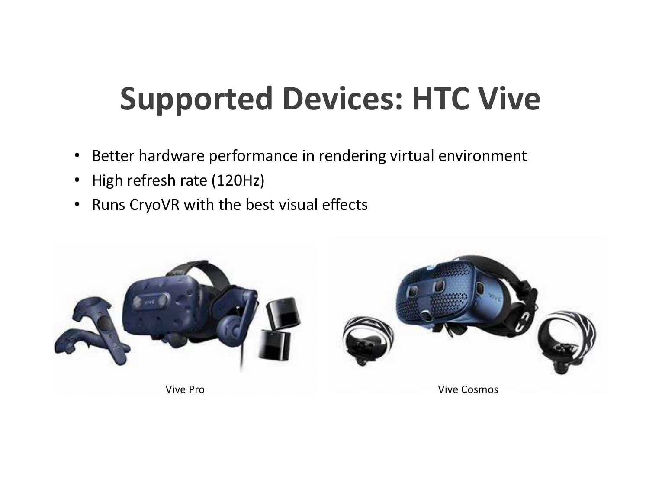## **Supported Devices: HTC Vive**

- Better hardware performance in rendering virtual environment
- High refresh rate (120Hz)
- Runs CryoVR with the best visual effects

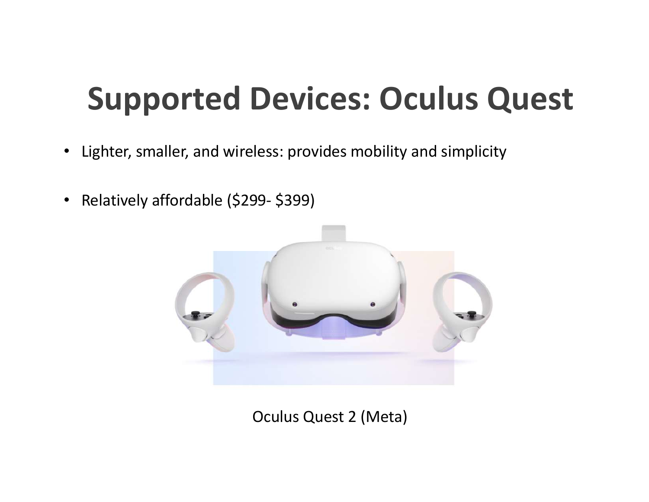## **Supported Devices: Oculus Quest**

- Lighter, smaller, and wireless: provides mobility and simplicity
- Relatively affordable (\$299- \$399)



Oculus Quest 2 (Meta)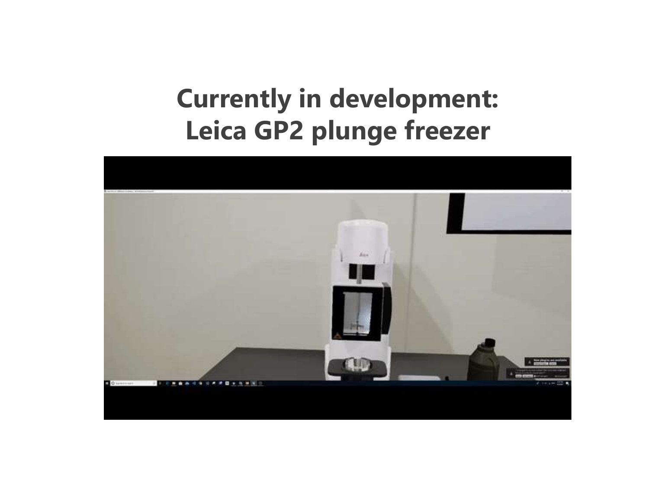## **Currently in development: Leica GP2 plunge freezer**

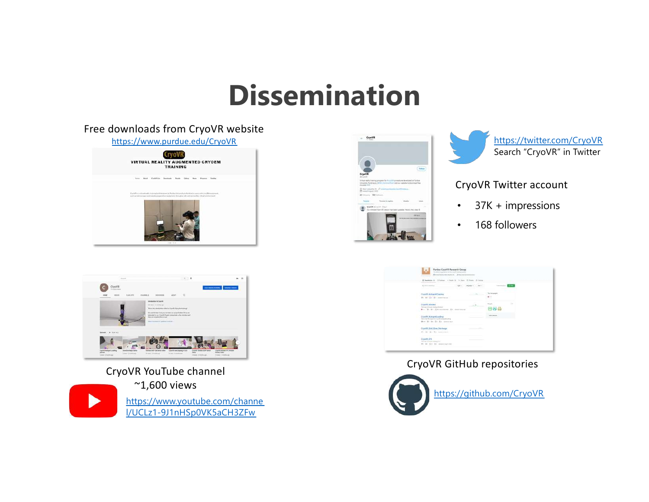## **Dissemination**

#### Free downloads from CryoVR website

#### [https://www.purdue.edu/CryoV](https://www.purdue.edu/CryoVR)R





#### CryoVR YouTube channel







[https://twitter.com/CryoV](https://twitter.com/CryoVR)R Search "CryoVR" in Twitter

#### CryoVR Twitter account

- 37K + impressions
- 168 followers



#### CryoVR GitHub repositories

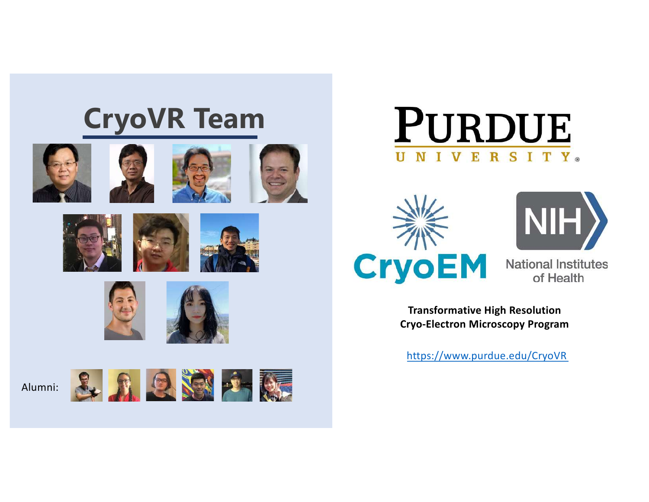## **CryoVR Team**















Alumni:











**National Institutes** of Health

**Transformative High Resolution Cryo-Electron Microscopy Program**

[https://www.purdue.edu/CryoV](https://www.purdue.edu/CryoVR)R